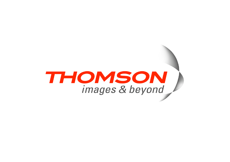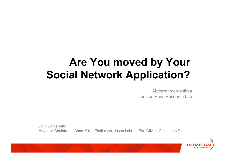# **Are You moved by Your Social Network Application?**

Abderrahmen Mtibaa Thomson Paris Research Lab

Joint works with: Augustin Chaintreau, Anna-Kaisa Pietilainen, Jason Lebrun, Earl Olivier, Christophe Diot

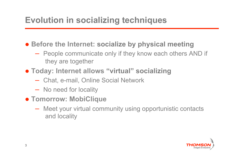## **Evolution in socializing techniques**

**• Before the Internet: socialize by physical meeting** 

- People communicate only if they know each others AND if they are together
- **Today: Internet allows "virtual" socializing** 
	- Chat, e-mail, Online Social Network
	- No need for locality
- **Tomorrow: MobiClique** 
	- Meet your virtual community using opportunistic contacts and locality

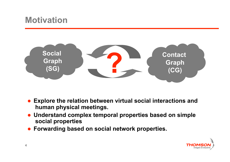### **Motivation**



- **Explore the relation between virtual social interactions and human physical meetings.**
- **Understand complex temporal properties based on simple social properties**
- **Forwarding based on social network properties.**

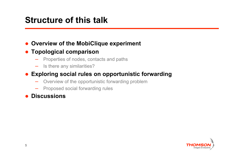### **Structure of this talk**

#### **Overview of the MobiClique experiment**

#### **Topological comparison**

- Properties of nodes, contacts and paths
- Is there any similarities?

#### **Exploring social rules on opportunistic forwarding**

- Overview of the opportunistic forwarding problem
- Proposed social forwarding rules

#### **Discussions**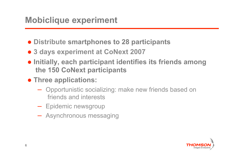- **Distribute smartphones to 28 participants**
- **3 days experiment at CoNext 2007**
- **Initially, each participant identifies its friends among the 150 CoNext participants**
- **Three applications:** 
	- Opportunistic socializing: make new friends based on friends and interests
	- Epidemic newsgroup
	- Asynchronous messaging

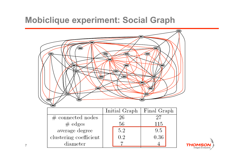### **Mobiclique experiment: Social Graph**





**7**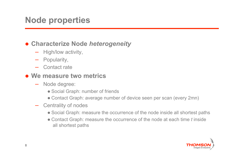### **Node properties**

#### **Characterize Node** *heterogeneity*

- High/low activity,
- Popularity,
- Contact rate
- **We measure two metrics** 
	- Node degree:
		- Social Graph: number of friends
		- Contact Graph: average number of device seen per scan (every 2mn)
	- Centrality of nodes
		- Social Graph: measure the occurrence of the node inside all shortest paths
		- Contact Graph: measure the occurrence of the node at each time *t* inside all shortest paths

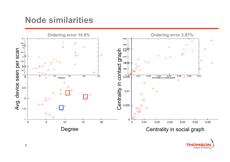### **Node similarities**



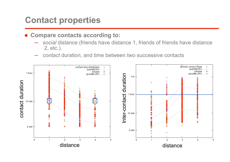### **Contact properties**

**Compare contacts according to:** 

- *social* distance (friends have distance 1, friends of friends have distance 2, etc.).
- *contact* duration, and time between two successive contacts

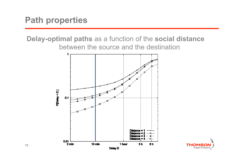**Delay-optimal paths** as a function of the **social distance** between the source and the destination



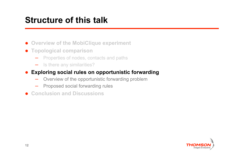## **Structure of this talk**

- **Overview of the MobiClique experiment**
- **Topological comparison** 
	- Properties of nodes, contacts and paths
	- Is there any similarities?

#### **Exploring social rules on opportunistic forwarding**

- Overview of the opportunistic forwarding problem
- Proposed social forwarding rules
- **Conclusion and Discussions**

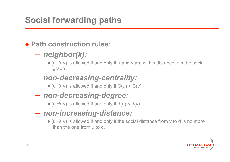# **Social forwarding paths**

#### **Path construction rules:**

### – *neighbor(k):*

 $\bullet$  (u  $\rightarrow$  v) is allowed if and only if u and v are within distance k in the social graph.

#### – *non-decreasing-centrality:*

- $\bullet$  (u  $\rightarrow$  v) is allowed if and only if C(u) < C(v).
- *non-decreasing-degree:*

 $\bullet$  (u  $\rightarrow$  v) is allowed if and only if d(u) < d(v).

- *non-increasing-distance:*
	- $\bullet$  (u  $\rightarrow$  v) is allowed if and only if the social distance from v to d is no more than the one from u to d.

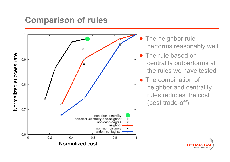### **Comparison of rules**



- The neighbor rule performs reasonably well
- The rule based on centrality outperforms all the rules we have tested
- The combination of neighbor and centrality rules reduces the cost (best trade-off).

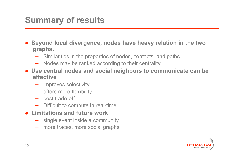# **Summary of results**

- **Beyond local divergence, nodes have heavy relation in the two graphs.** 
	- Similarities in the properties of nodes, contacts, and paths.
	- Nodes may be ranked according to their centrality
- **Use central nodes and social neighbors to communicate can be effective** 
	- improves selectivity
	- offers more flexibility
	- best trade-off
	- Difficult to compute in real-time
- **Limitations and future work:** 
	- single event inside a community
	- more traces, more social graphs